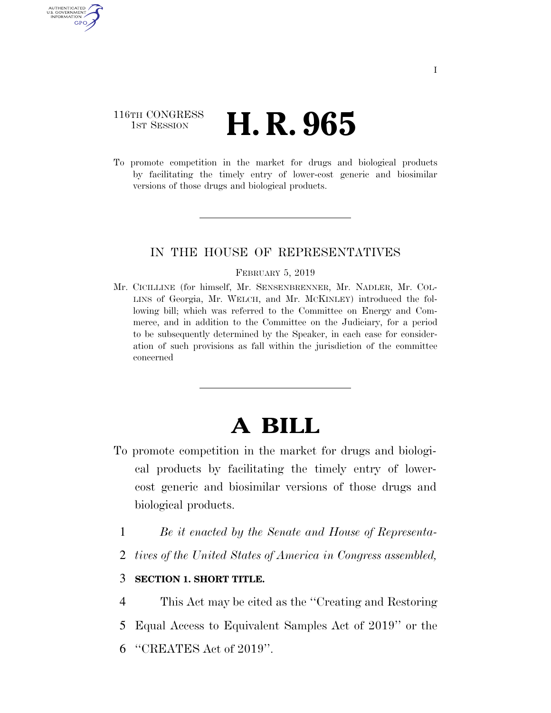## 116TH CONGRESS **1st Session H. R. 965**

AUTHENTICATED U.S. GOVERNMENT GPO

> To promote competition in the market for drugs and biological products by facilitating the timely entry of lower-cost generic and biosimilar versions of those drugs and biological products.

### IN THE HOUSE OF REPRESENTATIVES

#### FEBRUARY 5, 2019

Mr. CICILLINE (for himself, Mr. SENSENBRENNER, Mr. NADLER, Mr. COL-LINS of Georgia, Mr. WELCH, and Mr. MCKINLEY) introduced the following bill; which was referred to the Committee on Energy and Commerce, and in addition to the Committee on the Judiciary, for a period to be subsequently determined by the Speaker, in each case for consideration of such provisions as fall within the jurisdiction of the committee concerned

# **A BILL**

- To promote competition in the market for drugs and biological products by facilitating the timely entry of lowercost generic and biosimilar versions of those drugs and biological products.
	- 1 *Be it enacted by the Senate and House of Representa-*
	- 2 *tives of the United States of America in Congress assembled,*

### 3 **SECTION 1. SHORT TITLE.**

4 This Act may be cited as the ''Creating and Restoring

- 5 Equal Access to Equivalent Samples Act of 2019'' or the
- 6 ''CREATES Act of 2019''.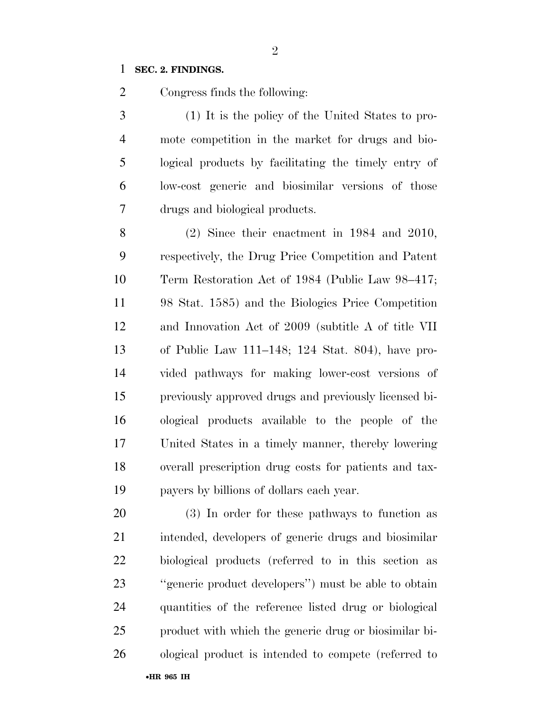### **SEC. 2. FINDINGS.**

Congress finds the following:

 (1) It is the policy of the United States to pro- mote competition in the market for drugs and bio- logical products by facilitating the timely entry of low-cost generic and biosimilar versions of those drugs and biological products.

 (2) Since their enactment in 1984 and 2010, respectively, the Drug Price Competition and Patent Term Restoration Act of 1984 (Public Law 98–417; 98 Stat. 1585) and the Biologics Price Competition and Innovation Act of 2009 (subtitle A of title VII of Public Law 111–148; 124 Stat. 804), have pro- vided pathways for making lower-cost versions of previously approved drugs and previously licensed bi- ological products available to the people of the United States in a timely manner, thereby lowering overall prescription drug costs for patients and tax-payers by billions of dollars each year.

 (3) In order for these pathways to function as intended, developers of generic drugs and biosimilar biological products (referred to in this section as ''generic product developers'') must be able to obtain quantities of the reference listed drug or biological product with which the generic drug or biosimilar bi-ological product is intended to compete (referred to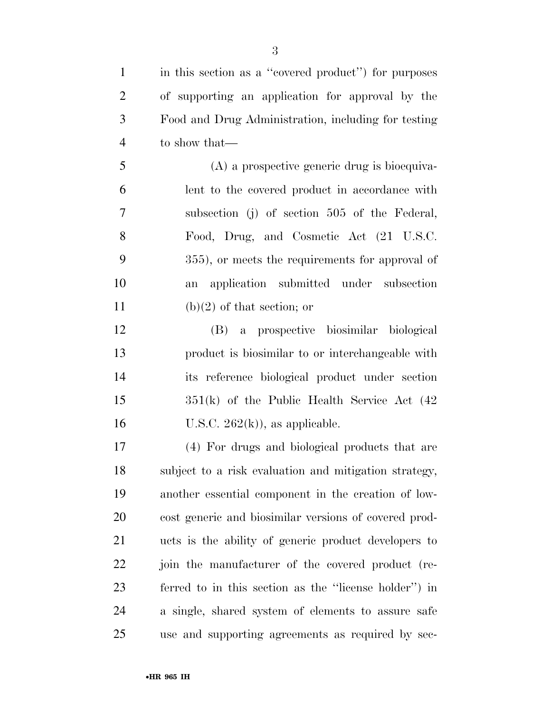| $\mathbf{1}$   | in this section as a "covered product") for purposes  |
|----------------|-------------------------------------------------------|
| $\overline{2}$ | of supporting an application for approval by the      |
| 3              | Food and Drug Administration, including for testing   |
| $\overline{4}$ | to show that—                                         |
| 5              | $(A)$ a prospective generic drug is bioequiva-        |
| 6              | lent to the covered product in accordance with        |
| 7              | subsection (j) of section 505 of the Federal,         |
| 8              | Food, Drug, and Cosmetic Act (21 U.S.C.               |
| 9              | 355), or meets the requirements for approval of       |
| 10             | application submitted under subsection<br>an          |
| 11             | $(b)(2)$ of that section; or                          |
| 12             | (B) a prospective biosimilar biological               |
| 13             | product is biosimilar to or interchangeable with      |
| 14             | its reference biological product under section        |
| 15             | $351(k)$ of the Public Health Service Act $(42)$      |
| 16             | U.S.C. $262(k)$ , as applicable.                      |
| 17             | (4) For drugs and biological products that are        |
| 18             | subject to a risk evaluation and mitigation strategy, |
| 19             | another essential component in the creation of low-   |
| 20             | cost generic and biosimilar versions of covered prod- |
| 21             | ucts is the ability of generic product developers to  |
| 22             | join the manufacturer of the covered product (re-     |
| 23             | ferred to in this section as the "license holder") in |
| 24             | a single, shared system of elements to assure safe    |
| 25             | use and supporting agreements as required by sec-     |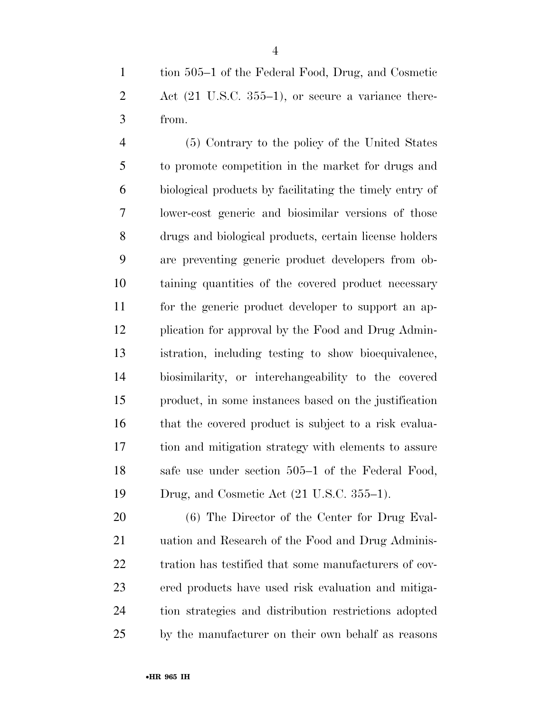tion 505–1 of the Federal Food, Drug, and Cosmetic 2 Act (21 U.S.C. 355–1), or secure a variance there-from.

 (5) Contrary to the policy of the United States to promote competition in the market for drugs and biological products by facilitating the timely entry of lower-cost generic and biosimilar versions of those drugs and biological products, certain license holders are preventing generic product developers from ob- taining quantities of the covered product necessary for the generic product developer to support an ap- plication for approval by the Food and Drug Admin- istration, including testing to show bioequivalence, biosimilarity, or interchangeability to the covered product, in some instances based on the justification 16 that the covered product is subject to a risk evalua- tion and mitigation strategy with elements to assure safe use under section 505–1 of the Federal Food, Drug, and Cosmetic Act (21 U.S.C. 355–1).

 (6) The Director of the Center for Drug Eval- uation and Research of the Food and Drug Adminis- tration has testified that some manufacturers of cov- ered products have used risk evaluation and mitiga- tion strategies and distribution restrictions adopted by the manufacturer on their own behalf as reasons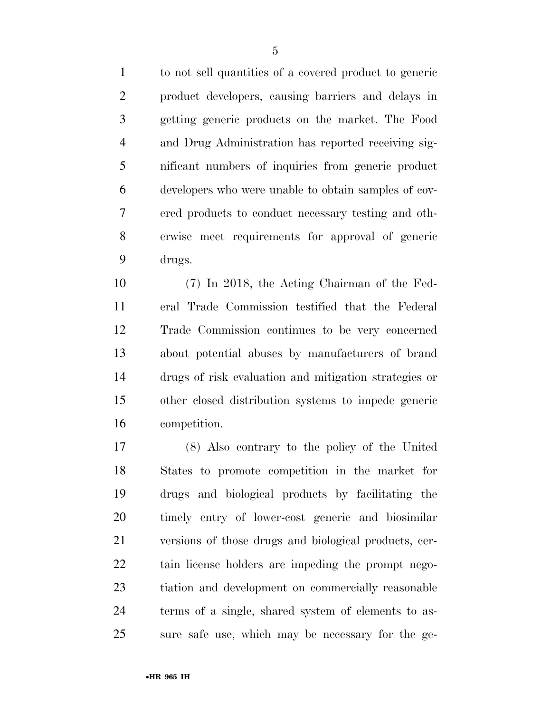to not sell quantities of a covered product to generic product developers, causing barriers and delays in getting generic products on the market. The Food and Drug Administration has reported receiving sig- nificant numbers of inquiries from generic product developers who were unable to obtain samples of cov- ered products to conduct necessary testing and oth- erwise meet requirements for approval of generic drugs.

 (7) In 2018, the Acting Chairman of the Fed- eral Trade Commission testified that the Federal Trade Commission continues to be very concerned about potential abuses by manufacturers of brand drugs of risk evaluation and mitigation strategies or other closed distribution systems to impede generic competition.

 (8) Also contrary to the policy of the United States to promote competition in the market for drugs and biological products by facilitating the timely entry of lower-cost generic and biosimilar versions of those drugs and biological products, cer- tain license holders are impeding the prompt nego- tiation and development on commercially reasonable terms of a single, shared system of elements to as-sure safe use, which may be necessary for the ge-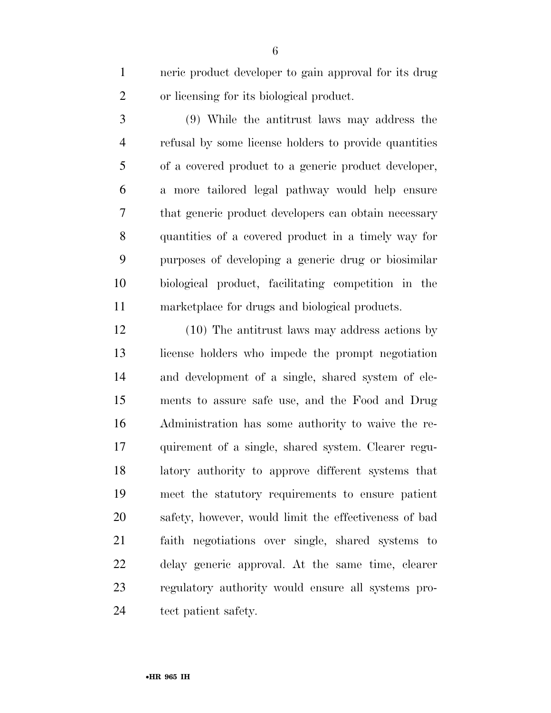neric product developer to gain approval for its drug or licensing for its biological product.

 (9) While the antitrust laws may address the refusal by some license holders to provide quantities of a covered product to a generic product developer, a more tailored legal pathway would help ensure that generic product developers can obtain necessary quantities of a covered product in a timely way for purposes of developing a generic drug or biosimilar biological product, facilitating competition in the marketplace for drugs and biological products.

 (10) The antitrust laws may address actions by license holders who impede the prompt negotiation and development of a single, shared system of ele- ments to assure safe use, and the Food and Drug Administration has some authority to waive the re- quirement of a single, shared system. Clearer regu- latory authority to approve different systems that meet the statutory requirements to ensure patient safety, however, would limit the effectiveness of bad faith negotiations over single, shared systems to delay generic approval. At the same time, clearer regulatory authority would ensure all systems pro-tect patient safety.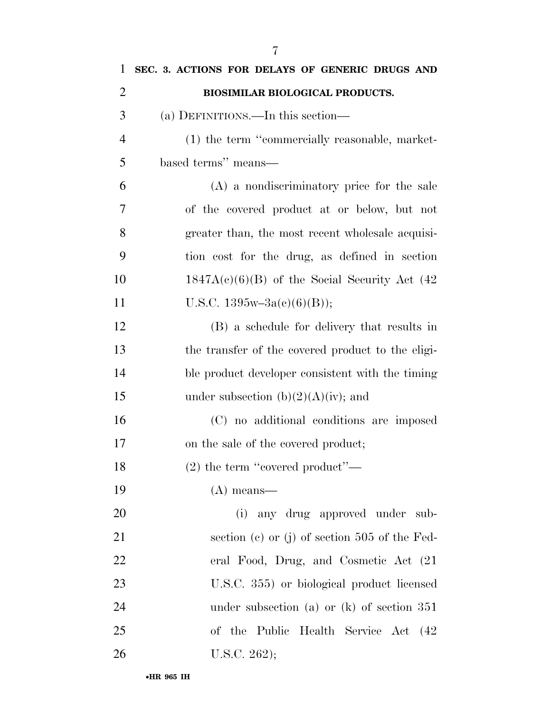| $\mathbf{1}$   | SEC. 3. ACTIONS FOR DELAYS OF GENERIC DRUGS AND   |
|----------------|---------------------------------------------------|
| $\overline{2}$ | BIOSIMILAR BIOLOGICAL PRODUCTS.                   |
| 3              | (a) DEFINITIONS.—In this section—                 |
| $\overline{4}$ | (1) the term "commercially reasonable, market-    |
| 5              | based terms" means—                               |
| 6              | (A) a nondiscriminatory price for the sale        |
| 7              | of the covered product at or below, but not       |
| 8              | greater than, the most recent wholesale acquisi-  |
| 9              | tion cost for the drug, as defined in section     |
| 10             | $1847A(c)(6)(B)$ of the Social Security Act (42)  |
| 11             | U.S.C. $1395w-3a(c)(6)(B)$ ;                      |
| 12             | (B) a schedule for delivery that results in       |
| 13             | the transfer of the covered product to the eligi- |
| 14             | ble product developer consistent with the timing  |
| 15             | under subsection $(b)(2)(A)(iv)$ ; and            |
| 16             | (C) no additional conditions are imposed          |
| 17             | on the sale of the covered product;               |
| 18             | $(2)$ the term "covered product"—                 |
| 19             | $(A)$ means—                                      |
| 20             | (i) any drug approved under sub-                  |
| 21             | section (c) or (j) of section $505$ of the Fed-   |
| 22             | eral Food, Drug, and Cosmetic Act (21)            |
| 23             | U.S.C. 355) or biological product licensed        |
| 24             | under subsection (a) or $(k)$ of section 351      |
| 25             | of the Public Health Service Act (42              |
| 26             | U.S.C. $262$ );                                   |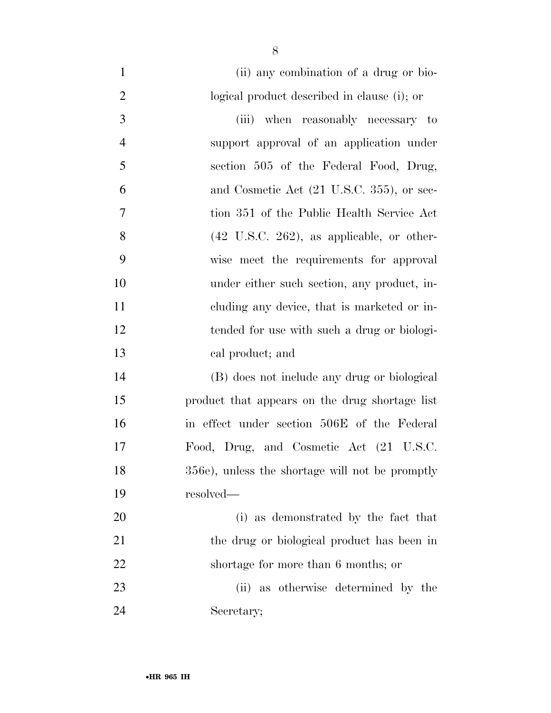| $\mathbf{1}$   | (ii) any combination of a drug or bio-                |
|----------------|-------------------------------------------------------|
| $\overline{2}$ | logical product described in clause (i); or           |
| 3              | (iii) when reasonably necessary to                    |
| $\overline{4}$ | support approval of an application under              |
| 5              | section 505 of the Federal Food, Drug,                |
| 6              | and Cosmetic Act (21 U.S.C. 355), or sec-             |
| $\tau$         | tion 351 of the Public Health Service Act             |
| 8              | $(42 \text{ U.S.C. } 262)$ , as applicable, or other- |
| 9              | wise meet the requirements for approval               |
| 10             | under either such section, any product, in-           |
| 11             | eluding any device, that is marketed or in-           |
| 12             | tended for use with such a drug or biologi-           |
| 13             | cal product; and                                      |
| 14             | (B) does not include any drug or biological           |
| 15             | product that appears on the drug shortage list        |
| 16             | in effect under section 506E of the Federal           |
| 17             | Food, Drug, and Cosmetic Act (21 U.S.C.               |
| 18             | 356e), unless the shortage will not be promptly       |
| 19             | $resolved$ —                                          |
| 20             | (i) as demonstrated by the fact that                  |
| 21             | the drug or biological product has been in            |
| 22             | shortage for more than 6 months; or                   |
| 23             | (ii) as otherwise determined by the                   |
| 24             | Secretary;                                            |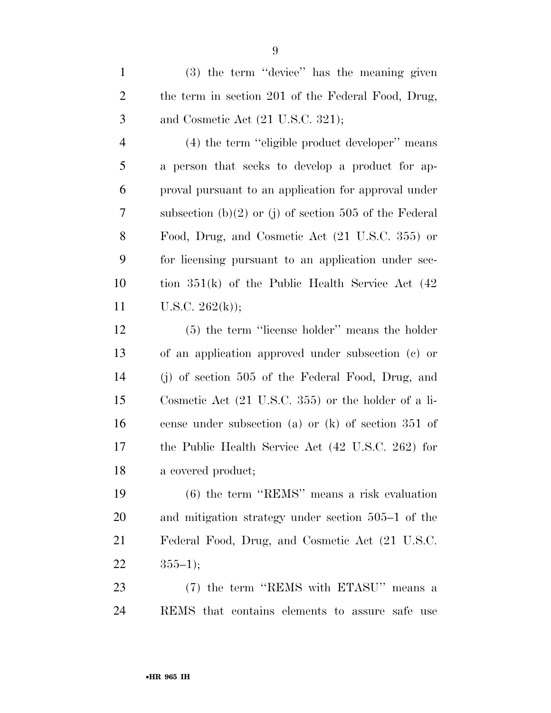(3) the term ''device'' has the meaning given 2 the term in section 201 of the Federal Food, Drug, 3 and Cosmetic Act  $(21 \text{ U.S.C. } 321);$ 

 (4) the term ''eligible product developer'' means a person that seeks to develop a product for ap- proval pursuant to an application for approval under subsection (b)(2) or (j) of section 505 of the Federal Food, Drug, and Cosmetic Act (21 U.S.C. 355) or for licensing pursuant to an application under sec- tion 351(k) of the Public Health Service Act (42 11 U.S.C.  $262(k)$ ;

 (5) the term ''license holder'' means the holder of an application approved under subsection (c) or (j) of section 505 of the Federal Food, Drug, and Cosmetic Act (21 U.S.C. 355) or the holder of a li- cense under subsection (a) or (k) of section 351 of the Public Health Service Act (42 U.S.C. 262) for a covered product;

 (6) the term ''REMS'' means a risk evaluation and mitigation strategy under section 505–1 of the Federal Food, Drug, and Cosmetic Act (21 U.S.C. 22  $355-1$ ;

 (7) the term ''REMS with ETASU'' means a REMS that contains elements to assure safe use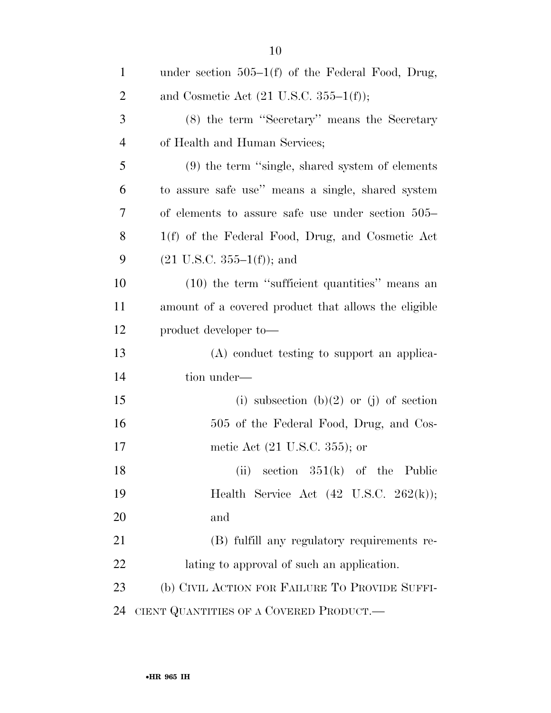| $\mathbf{1}$   | under section $505-1(f)$ of the Federal Food, Drug,      |
|----------------|----------------------------------------------------------|
| $\overline{2}$ | and Cosmetic Act $(21 \text{ U.S.C. } 355-1(f));$        |
| 3              | (8) the term "Secretary" means the Secretary             |
| $\overline{4}$ | of Health and Human Services;                            |
| 5              | $(9)$ the term "single, shared system of elements"       |
| 6              | to assure safe use" means a single, shared system        |
| 7              | of elements to assure safe use under section 505–        |
| 8              | 1(f) of the Federal Food, Drug, and Cosmetic Act         |
| 9              | $(21 \text{ U.S.C. } 355-1(f));$ and                     |
| 10             | $(10)$ the term "sufficient quantities" means an         |
| 11             | amount of a covered product that allows the eligible     |
| 12             | product developer to-                                    |
| 13             | (A) conduct testing to support an applica-               |
| 14             | tion under—                                              |
| 15             | (i) subsection (b)(2) or (j) of section                  |
| 16             | 505 of the Federal Food, Drug, and Cos-                  |
| 17             | metic Act (21 U.S.C. 355); or                            |
| 18             | section $351(k)$ of the Public<br>(ii)                   |
| 19             | Health Service Act $(42 \text{ U.S.C. } 262(\text{k}));$ |
| 20             | and                                                      |
| 21             | (B) fulfill any regulatory requirements re-              |
| 22             | lating to approval of such an application.               |
| 23             | (b) CIVIL ACTION FOR FAILURE TO PROVIDE SUFFI-           |
| 24             | CIENT QUANTITIES OF A COVERED PRODUCT.                   |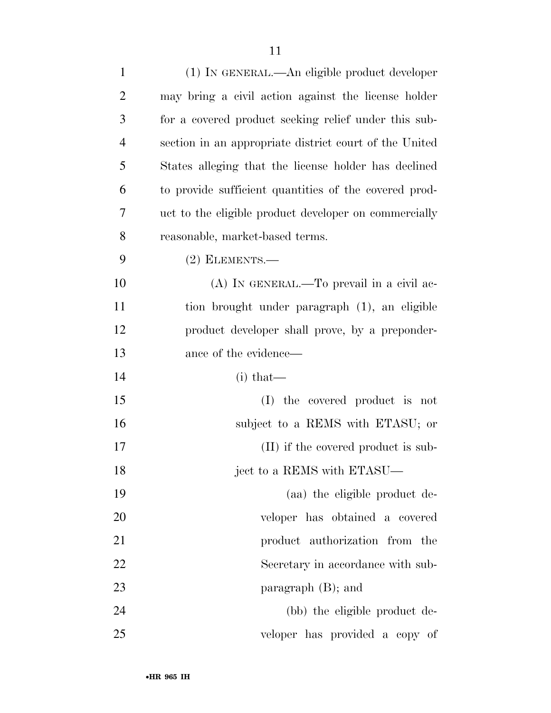| $\mathbf{1}$   | (1) IN GENERAL.—An eligible product developer          |
|----------------|--------------------------------------------------------|
| $\overline{2}$ | may bring a civil action against the license holder    |
| 3              | for a covered product seeking relief under this sub-   |
| $\overline{4}$ | section in an appropriate district court of the United |
| 5              | States alleging that the license holder has declined   |
| 6              | to provide sufficient quantities of the covered prod-  |
| 7              | uct to the eligible product developer on commercially  |
| 8              | reasonable, market-based terms.                        |
| 9              | $(2)$ ELEMENTS.—                                       |
| 10             | (A) IN GENERAL.—To prevail in a civil ac-              |
| 11             | tion brought under paragraph (1), an eligible          |
| 12             | product developer shall prove, by a preponder-         |
| 13             | ance of the evidence—                                  |
| 14             | $(i)$ that—                                            |
| 15             | (I) the covered product is not                         |
| 16             | subject to a REMS with ETASU; or                       |
| 17             | (II) if the covered product is sub-                    |
| 18             | ject to a REMS with ETASU—                             |
| 19             | (aa) the eligible product de-                          |
| 20             | veloper has obtained a covered                         |
| 21             | product authorization from the                         |
| 22             | Secretary in accordance with sub-                      |
| 23             | paragraph $(B)$ ; and                                  |
| 24             | (bb) the eligible product de-                          |
| 25             | veloper has provided a copy of                         |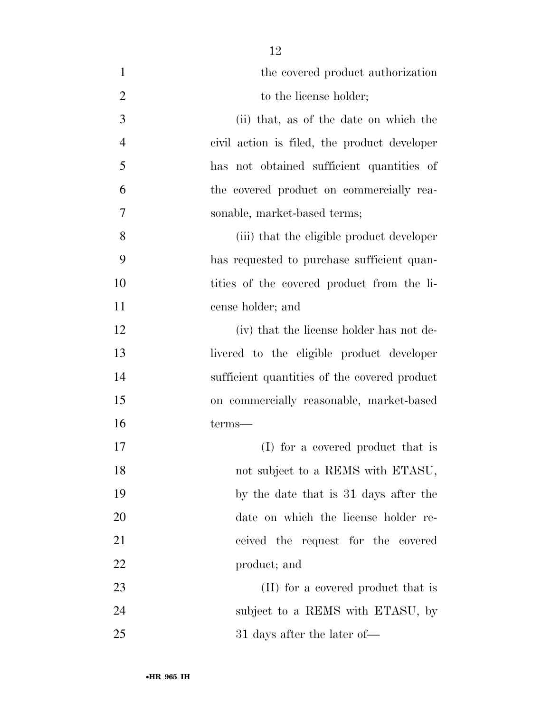| $\mathbf{1}$   | the covered product authorization            |
|----------------|----------------------------------------------|
| $\overline{2}$ | to the license holder;                       |
| 3              | (ii) that, as of the date on which the       |
| $\overline{4}$ | civil action is filed, the product developer |
| 5              | has not obtained sufficient quantities of    |
| 6              | the covered product on commercially rea-     |
| 7              | sonable, market-based terms;                 |
| 8              | (iii) that the eligible product developer    |
| 9              | has requested to purchase sufficient quan-   |
| 10             | tities of the covered product from the li-   |
| 11             | cense holder; and                            |
| 12             | (iv) that the license holder has not de-     |
| 13             | livered to the eligible product developer    |
| 14             | sufficient quantities of the covered product |
| 15             | on commercially reasonable, market-based     |
| 16             | terms—                                       |
| 17             | (I) for a covered product that is            |
| 18             | not subject to a REMS with ETASU,            |
| 19             | by the date that is 31 days after the        |
| 20             | date on which the license holder re-         |
| 21             | ceived the request for the covered           |
| 22             | product; and                                 |
| 23             | (II) for a covered product that is           |
| 24             | subject to a REMS with ETASU, by             |
| 25             | 31 days after the later of—                  |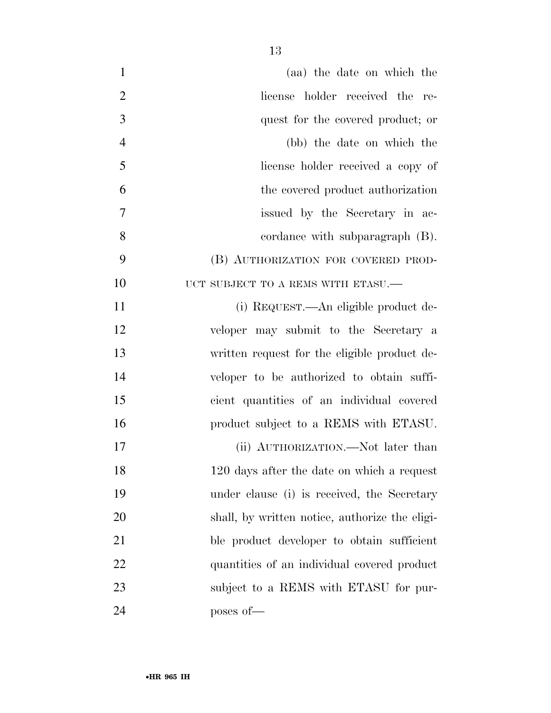| $\mathbf{1}$   | (aa) the date on which the                     |
|----------------|------------------------------------------------|
| $\overline{2}$ | license holder received the re-                |
| 3              | quest for the covered product; or              |
| $\overline{4}$ | (bb) the date on which the                     |
| 5              | license holder received a copy of              |
| 6              | the covered product authorization              |
| 7              | issued by the Secretary in ac-                 |
| 8              | cordance with subparagraph (B).                |
| 9              | (B) AUTHORIZATION FOR COVERED PROD-            |
| 10             | UCT SUBJECT TO A REMS WITH ETASU. $-$          |
| 11             | (i) REQUEST.—An eligible product de-           |
| 12             | veloper may submit to the Secretary a          |
| 13             | written request for the eligible product de-   |
| 14             | veloper to be authorized to obtain suffi-      |
| 15             | cient quantities of an individual covered      |
| 16             | product subject to a REMS with ETASU.          |
| 17             | (ii) AUTHORIZATION.—Not later than             |
| 18             | 120 days after the date on which a request     |
| 19             | under clause (i) is received, the Secretary    |
| 20             | shall, by written notice, authorize the eligi- |
| 21             | ble product developer to obtain sufficient     |
| 22             | quantities of an individual covered product    |
| 23             | subject to a REMS with ETASU for pur-          |
| 24             | poses of-                                      |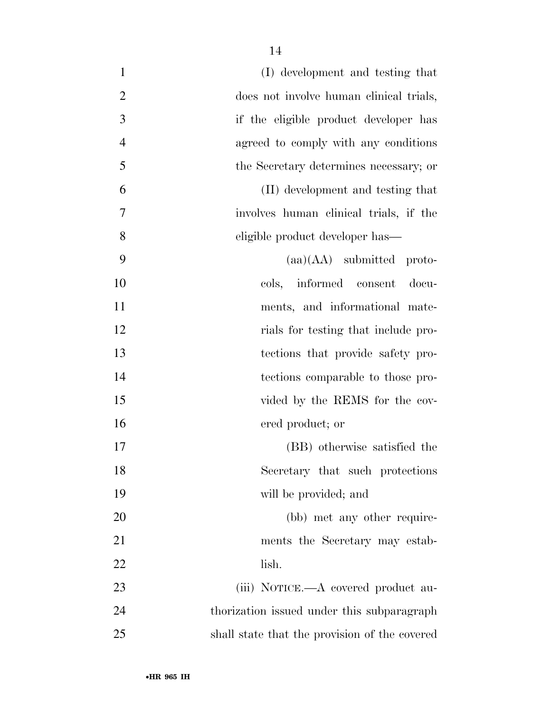| $\mathbf{1}$   | (I) development and testing that              |
|----------------|-----------------------------------------------|
| $\overline{2}$ | does not involve human clinical trials,       |
| $\mathfrak{Z}$ | if the eligible product developer has         |
| $\overline{4}$ | agreed to comply with any conditions          |
| 5              | the Secretary determines necessary; or        |
| 6              | (II) development and testing that             |
| 7              | involves human clinical trials, if the        |
| 8              | eligible product developer has—               |
| 9              | $(aa)(AA)$ submitted proto-                   |
| 10             | cols, informed consent<br>docu-               |
| 11             | ments, and informational mate-                |
| 12             | rials for testing that include pro-           |
| 13             | tections that provide safety pro-             |
| 14             | tections comparable to those pro-             |
| 15             | vided by the REMS for the cov-                |
| 16             | ered product; or                              |
| 17             | (BB) otherwise satisfied the                  |
| 18             | Secretary that such protections               |
| 19             | will be provided; and                         |
| 20             | (bb) met any other require-                   |
| 21             | ments the Secretary may estab-                |
| 22             | lish.                                         |
| 23             | (iii) NOTICE.—A covered product au-           |
| 24             | thorization issued under this subparagraph    |
| 25             | shall state that the provision of the covered |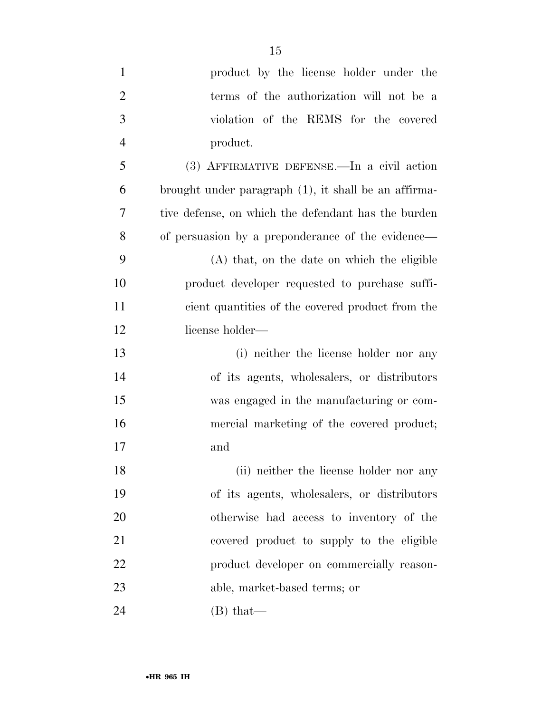- product by the license holder under the terms of the authorization will not be a violation of the REMS for the covered product. (3) AFFIRMATIVE DEFENSE.—In a civil action brought under paragraph (1), it shall be an affirma- tive defense, on which the defendant has the burden of persuasion by a preponderance of the evidence— (A) that, on the date on which the eligible product developer requested to purchase suffi- cient quantities of the covered product from the license holder— (i) neither the license holder nor any of its agents, wholesalers, or distributors was engaged in the manufacturing or com- mercial marketing of the covered product; and 18 (ii) neither the license holder nor any of its agents, wholesalers, or distributors otherwise had access to inventory of the covered product to supply to the eligible **product developer on commercially reason-**able, market-based terms; or
- 24 (B) that —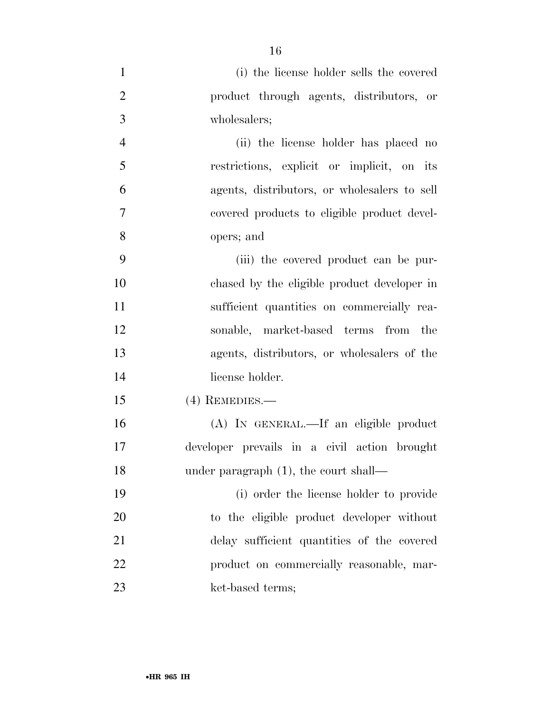| $\mathbf{1}$   | (i) the license holder sells the covered     |
|----------------|----------------------------------------------|
| $\overline{2}$ | product through agents, distributors, or     |
| $\mathfrak{Z}$ | wholesalers;                                 |
| $\overline{4}$ | (ii) the license holder has placed no        |
| 5              | restrictions, explicit or implicit, on its   |
| 6              | agents, distributors, or wholesalers to sell |
| $\overline{7}$ | covered products to eligible product devel-  |
| 8              | opers; and                                   |
| 9              | (iii) the covered product can be pur-        |
| 10             | chased by the eligible product developer in  |
| 11             | sufficient quantities on commercially rea-   |
| 12             | sonable, market-based terms from the         |
| 13             | agents, distributors, or wholesalers of the  |
| 14             | license holder.                              |
| 15             | $(4)$ REMEDIES.—                             |
| 16             | (A) IN GENERAL.—If an eligible product       |
| 17             | developer prevails in a civil action brought |
| 18             | under paragraph $(1)$ , the court shall—     |
| 19             | (i) order the license holder to provide      |
| 20             | to the eligible product developer without    |
| 21             | delay sufficient quantities of the covered   |
| 22             | product on commercially reasonable, mar-     |
| 23             | ket-based terms;                             |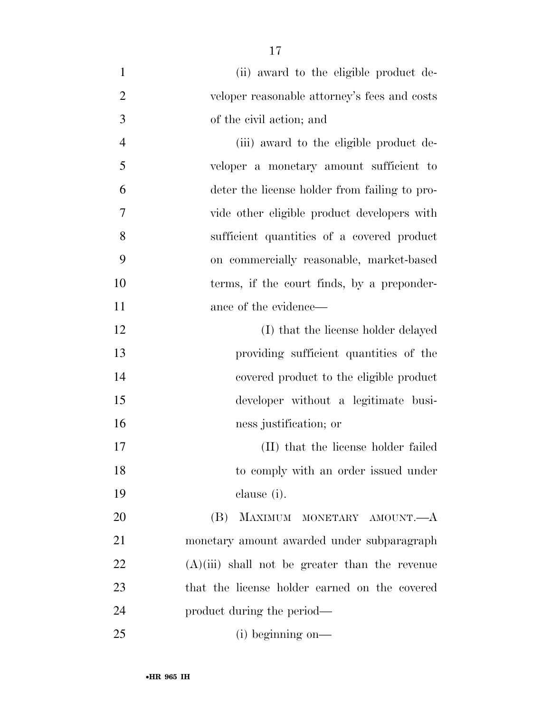| $\mathbf{1}$   | (ii) award to the eligible product de-           |
|----------------|--------------------------------------------------|
| $\overline{2}$ | veloper reasonable attorney's fees and costs     |
| 3              | of the civil action; and                         |
| $\overline{4}$ | (iii) award to the eligible product de-          |
| 5              | veloper a monetary amount sufficient to          |
| 6              | deter the license holder from failing to pro-    |
| $\overline{7}$ | vide other eligible product developers with      |
| 8              | sufficient quantities of a covered product       |
| 9              | on commercially reasonable, market-based         |
| 10             | terms, if the court finds, by a preponder-       |
| 11             | ance of the evidence—                            |
| 12             | (I) that the license holder delayed              |
| 13             | providing sufficient quantities of the           |
| 14             | covered product to the eligible product          |
| 15             | developer without a legitimate busi-             |
| 16             | ness justification; or                           |
| 17             | (II) that the license holder failed              |
| 18             | to comply with an order issued under             |
| 19             | clause (i).                                      |
| 20             | (B) MAXIMUM MONETARY AMOUNT.—A                   |
| 21             | monetary amount awarded under subparagraph       |
| 22             | $(A)(iii)$ shall not be greater than the revenue |
| 23             | that the license holder earned on the covered    |
| 24             | product during the period—                       |
| 25             | $(i)$ beginning on—                              |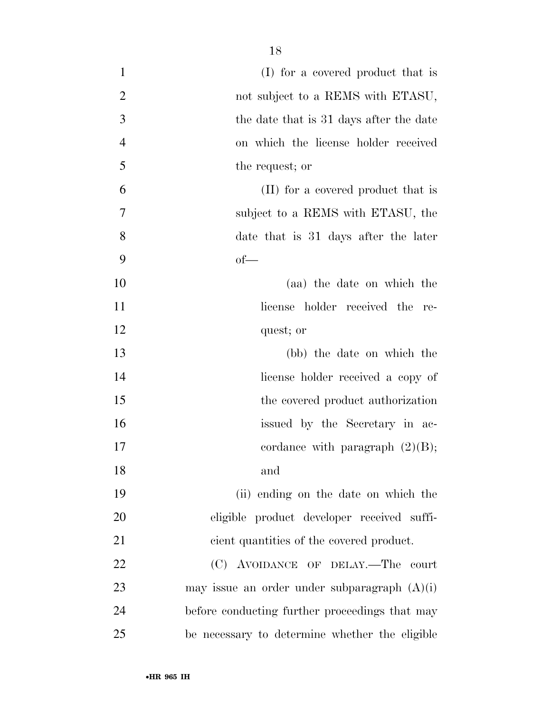| $\mathbf{1}$   | (I) for a covered product that is              |
|----------------|------------------------------------------------|
| $\overline{2}$ | not subject to a REMS with ETASU,              |
| 3              | the date that is 31 days after the date        |
| $\overline{4}$ | on which the license holder received           |
| 5              | the request; or                                |
| 6              | (II) for a covered product that is             |
| $\overline{7}$ | subject to a REMS with ETASU, the              |
| 8              | date that is 31 days after the later           |
| 9              | $of$ —                                         |
| 10             | (aa) the date on which the                     |
| 11             | license holder received the re-                |
| 12             | quest; or                                      |
| 13             | (bb) the date on which the                     |
| 14             | license holder received a copy of              |
| 15             | the covered product authorization              |
| 16             | issued by the Secretary in ac-                 |
| 17             | cordance with paragraph $(2)(B)$ ;             |
| 18             | and                                            |
| 19             | (ii) ending on the date on which the           |
| 20             | eligible product developer received suffi-     |
| 21             | cient quantities of the covered product.       |
| 22             | (C) AVOIDANCE OF DELAY.—The court              |
| 23             | may issue an order under subparagraph $(A)(i)$ |
| 24             | before conducting further proceedings that may |
| 25             | be necessary to determine whether the eligible |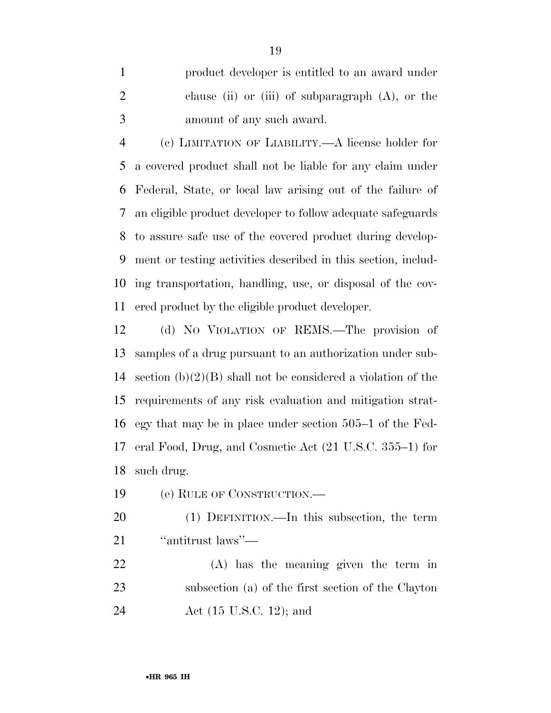product developer is entitled to an award under clause (ii) or (iii) of subparagraph (A), or the amount of any such award.

 (c) LIMITATION OF LIABILITY.—A license holder for a covered product shall not be liable for any claim under Federal, State, or local law arising out of the failure of an eligible product developer to follow adequate safeguards to assure safe use of the covered product during develop- ment or testing activities described in this section, includ- ing transportation, handling, use, or disposal of the cov-ered product by the eligible product developer.

 (d) NO VIOLATION OF REMS.—The provision of samples of a drug pursuant to an authorization under sub- section (b)(2)(B) shall not be considered a violation of the requirements of any risk evaluation and mitigation strat- egy that may be in place under section 505–1 of the Fed- eral Food, Drug, and Cosmetic Act (21 U.S.C. 355–1) for such drug.

(e) RULE OF CONSTRUCTION.—

 (1) DEFINITION.—In this subsection, the term ''antitrust laws''—

 (A) has the meaning given the term in subsection (a) of the first section of the Clayton Act (15 U.S.C. 12); and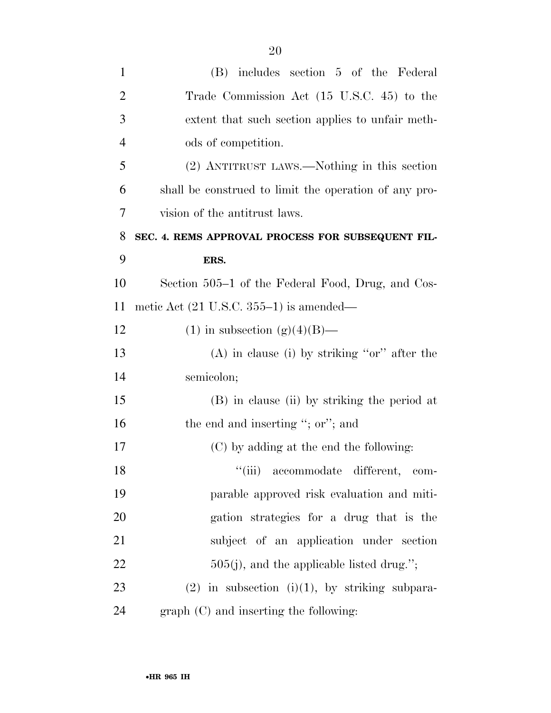| $\mathbf{1}$   | (B) includes section 5 of the Federal                 |
|----------------|-------------------------------------------------------|
| $\overline{2}$ | Trade Commission Act (15 U.S.C. 45) to the            |
| 3              | extent that such section applies to unfair meth-      |
| $\overline{4}$ | ods of competition.                                   |
| 5              | (2) ANTITRUST LAWS.—Nothing in this section           |
| 6              | shall be construed to limit the operation of any pro- |
| 7              | vision of the antitrust laws.                         |
| 8              | SEC. 4. REMS APPROVAL PROCESS FOR SUBSEQUENT FIL-     |
| 9              | ERS.                                                  |
| 10             | Section 505–1 of the Federal Food, Drug, and Cos-     |
| 11             | metic Act $(21 \text{ U.S.C. } 355-1)$ is amended—    |
| 12             | (1) in subsection (g)(4)(B)—                          |
| 13             | $(A)$ in clause (i) by striking "or" after the        |
| 14             | semicolon;                                            |
| 15             | (B) in clause (ii) by striking the period at          |
| 16             | the end and inserting "; or"; and                     |
| 17             | (C) by adding at the end the following:               |
| 18             | "(iii) accommodate different, com-                    |
| 19             | parable approved risk evaluation and miti-            |
| 20             | gation strategies for a drug that is the              |
| 21             | subject of an application under section               |
| 22             | $505(j)$ , and the applicable listed drug.";          |
| 23             | $(2)$ in subsection $(i)(1)$ , by striking subpara-   |
| 24             | $graph (C)$ and inserting the following:              |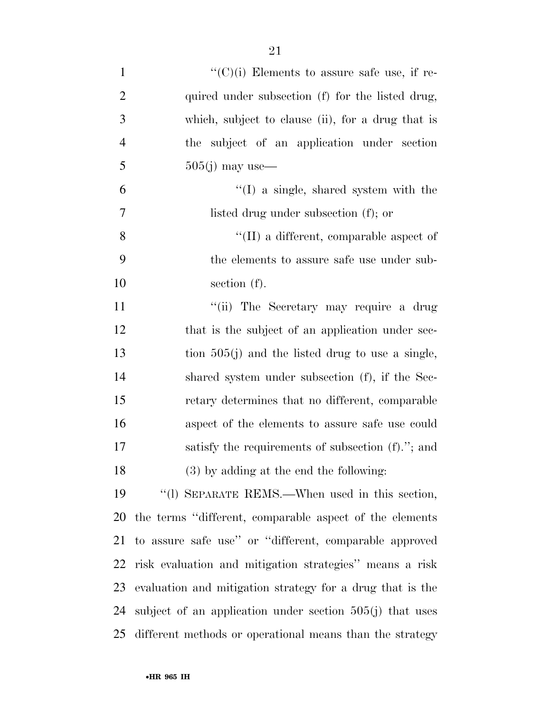| $\mathbf{1}$   | $\lq\lq$ (C)(i) Elements to assure safe use, if re-        |
|----------------|------------------------------------------------------------|
| $\overline{2}$ | quired under subsection (f) for the listed drug,           |
| 3              | which, subject to clause (ii), for a drug that is          |
| $\overline{4}$ | the subject of an application under section                |
| 5              | $505(j)$ may use—                                          |
| 6              | $\lq(1)$ a single, shared system with the                  |
| 7              | listed drug under subsection (f); or                       |
| 8              | $\lq\lq$ (II) a different, comparable aspect of            |
| 9              | the elements to assure safe use under sub-                 |
| 10             | section $(f)$ .                                            |
| 11             | "(ii) The Secretary may require a drug                     |
| 12             | that is the subject of an application under sec-           |
| 13             | tion $505(j)$ and the listed drug to use a single,         |
| 14             | shared system under subsection (f), if the Sec-            |
| 15             | retary determines that no different, comparable            |
| 16             | aspect of the elements to assure safe use could            |
| 17             | satisfy the requirements of subsection (f)."; and          |
| 18             | $(3)$ by adding at the end the following:                  |
| 19             | "(1) SEPARATE REMS.—When used in this section,             |
| 20             | the terms "different, comparable aspect of the elements"   |
| 21             | to assure safe use" or "different, comparable approved     |
| 22             | risk evaluation and mitigation strategies" means a risk    |
| 23             | evaluation and mitigation strategy for a drug that is the  |
| 24             | subject of an application under section $505(j)$ that uses |
| 25             | different methods or operational means than the strategy   |